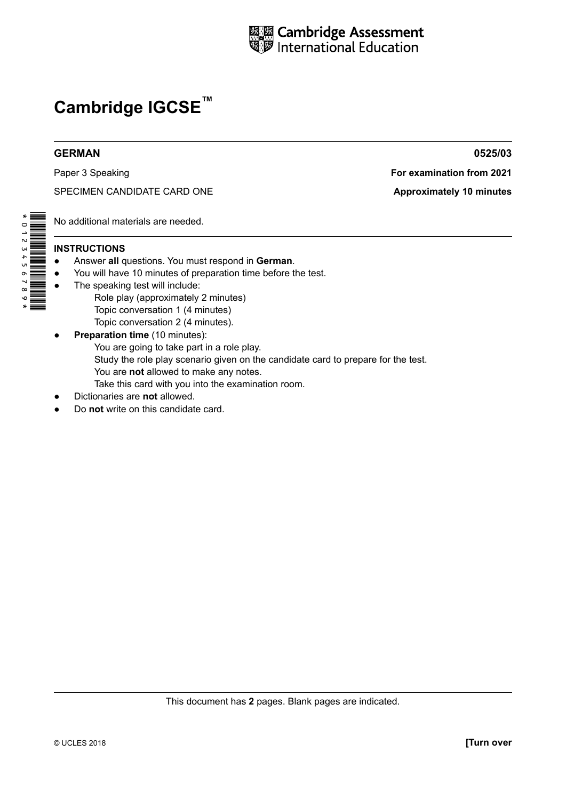

# **GERMAN 0525/03**

SPECIMEN CANDIDATE CARD ONE **Approximately 10 minutes** 

Paper 3 Speaking **For examination from 2021** 

No additional materials are needed.

# **INSTRUCTIONS**

- Answer all questions. You must respond in German.
- ● You will have 10 minutes of preparation time before the test.
- The speaking test will include: Role play (approximately 2 minutes)
	- Topic conversation 1 (4 minutes)
	- Topic conversation 2 (4 minutes).
- **• Preparation time** (10 minutes): You are going to take part in a role play. Study the role play scenario given on the candidate card to prepare for the test. You are **not** allowed to make any notes. Take this card with you into the examination room.
- **Dictionaries are not allowed.**
- Do **not** write on this candidate card.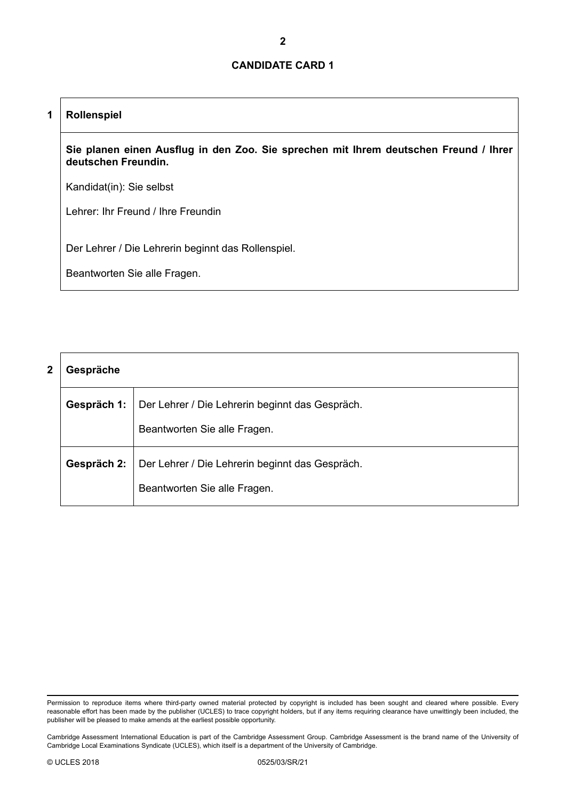### **1 Rollenspiel**

**Sie planen einen Ausflug in den Zoo. Sie sprechen mit Ihrem deutschen Freund / Ihrer deutschen Freundin.**

Kandidat(in): Sie selbst

Lehrer: Ihr Freund / Ihre Freundin

Der Lehrer / Die Lehrerin beginnt das Rollenspiel.

| 2 | Gespräche   |                                                                                 |  |
|---|-------------|---------------------------------------------------------------------------------|--|
|   | Gespräch 1: | Der Lehrer / Die Lehrerin beginnt das Gespräch.                                 |  |
|   |             | Beantworten Sie alle Fragen.                                                    |  |
|   | Gespräch 2: | Der Lehrer / Die Lehrerin beginnt das Gespräch.<br>Beantworten Sie alle Fragen. |  |

Permission to reproduce items where third-party owned material protected by copyright is included has been sought and cleared where possible. Every reasonable effort has been made by the publisher (UCLES) to trace copyright holders, but if any items requiring clearance have unwittingly been included, the publisher will be pleased to make amends at the earliest possible opportunity.

Cambridge Assessment International Education is part of the Cambridge Assessment Group. Cambridge Assessment is the brand name of the University of Cambridge Local Examinations Syndicate (UCLES), which itself is a department of the University of Cambridge.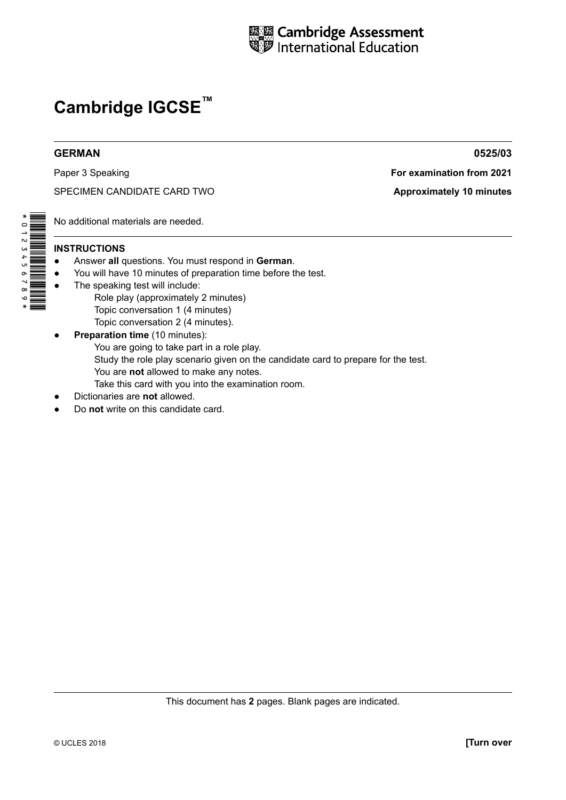

Paper 3 Speaking **For examination from 2021** 

SPECIMEN CANDIDATE CARD TWO **Approximately 10 minutes** 

No additional materials are needed.

# **INSTRUCTIONS**

- Answer all questions. You must respond in German.
- ● You will have 10 minutes of preparation time before the test.
- The speaking test will include: Role play (approximately 2 minutes)
	- Topic conversation 1 (4 minutes)
- Topic conversation 2 (4 minutes). **• Preparation time** (10 minutes): You are going to take part in a role play. Study the role play scenario given on the candidate card to prepare for the test. You are **not** allowed to make any notes.
	- Take this card with you into the examination room.
- **Dictionaries are not allowed.**
- Do **not** write on this candidate card.

**GERMAN 0525/03**

\*0123456789\*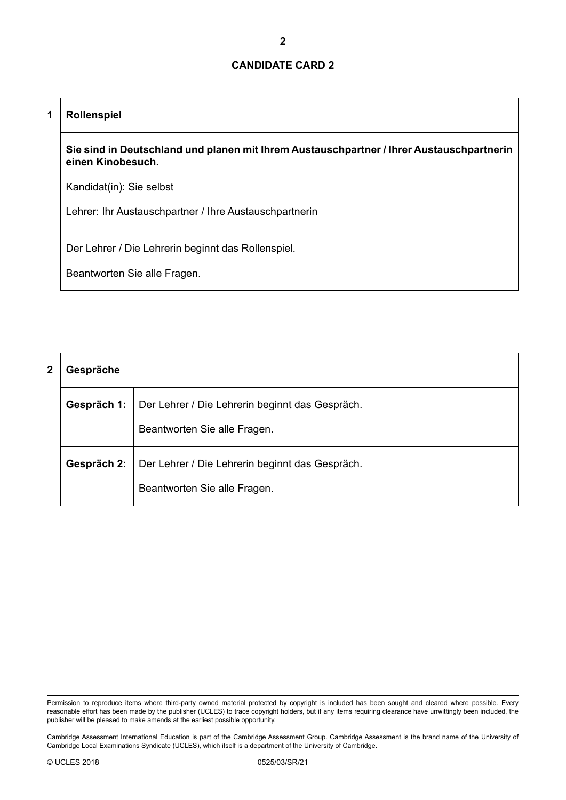# **1 Rollenspiel**

**Sie sind in Deutschland und planen mit Ihrem Austauschpartner / Ihrer Austauschpartnerin einen Kinobesuch.**

Kandidat(in): Sie selbst

Lehrer: Ihr Austauschpartner / Ihre Austauschpartnerin

Der Lehrer / Die Lehrerin beginnt das Rollenspiel.

| 2 | Gespräche   |                                                                                 |  |
|---|-------------|---------------------------------------------------------------------------------|--|
|   | Gespräch 1: | Der Lehrer / Die Lehrerin beginnt das Gespräch.                                 |  |
|   |             | Beantworten Sie alle Fragen.                                                    |  |
|   | Gespräch 2: | Der Lehrer / Die Lehrerin beginnt das Gespräch.<br>Beantworten Sie alle Fragen. |  |

Permission to reproduce items where third-party owned material protected by copyright is included has been sought and cleared where possible. Every reasonable effort has been made by the publisher (UCLES) to trace copyright holders, but if any items requiring clearance have unwittingly been included, the publisher will be pleased to make amends at the earliest possible opportunity.

Cambridge Assessment International Education is part of the Cambridge Assessment Group. Cambridge Assessment is the brand name of the University of Cambridge Local Examinations Syndicate (UCLES), which itself is a department of the University of Cambridge.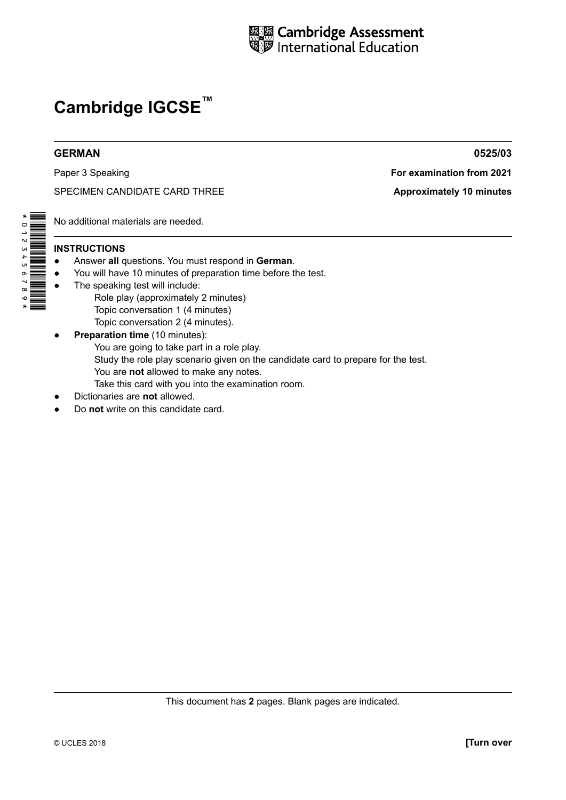

SPECIMEN CANDIDATE CARD THREE **A Approximately 10 minutes** 

No additional materials are needed.

# **INSTRUCTIONS**

\*0123456789\*

- Answer all questions. You must respond in German.
- ● You will have 10 minutes of preparation time before the test.
	- The speaking test will include: Role play (approximately 2 minutes)
		- Topic conversation 1 (4 minutes)
- Topic conversation 2 (4 minutes). **• Preparation time** (10 minutes): You are going to take part in a role play. Study the role play scenario given on the candidate card to prepare for the test. You are **not** allowed to make any notes. Take this card with you into the examination room.
- **Dictionaries are not allowed.**
- Do **not** write on this candidate card.

**GERMAN 0525/03**

Paper 3 Speaking **For examination from 2021**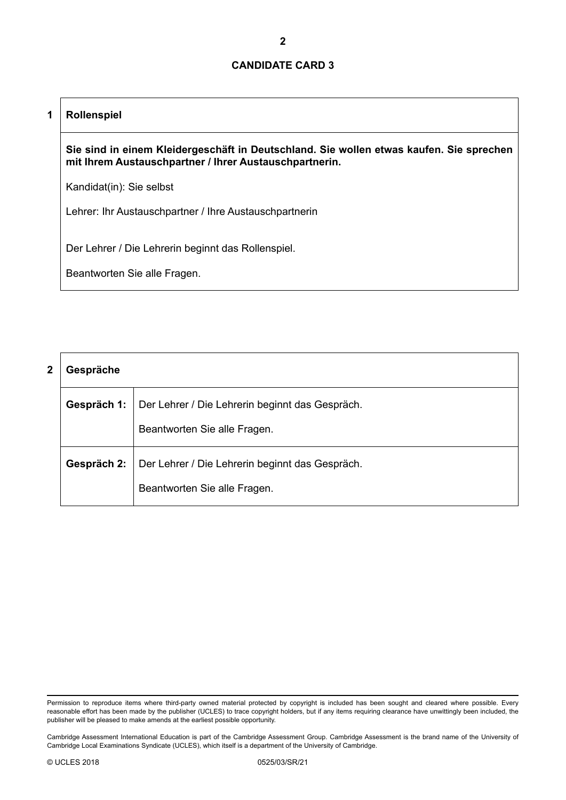# **1 Rollenspiel**

**Sie sind in einem Kleidergeschäft in Deutschland. Sie wollen etwas kaufen. Sie sprechen mit Ihrem Austauschpartner / Ihrer Austauschpartnerin.**

Kandidat(in): Sie selbst

Lehrer: Ihr Austauschpartner / Ihre Austauschpartnerin

Der Lehrer / Die Lehrerin beginnt das Rollenspiel.

| 2 | Gespräche   |                                                                                 |  |
|---|-------------|---------------------------------------------------------------------------------|--|
|   | Gespräch 1: | Der Lehrer / Die Lehrerin beginnt das Gespräch.                                 |  |
|   |             | Beantworten Sie alle Fragen.                                                    |  |
|   | Gespräch 2: | Der Lehrer / Die Lehrerin beginnt das Gespräch.<br>Beantworten Sie alle Fragen. |  |

Permission to reproduce items where third-party owned material protected by copyright is included has been sought and cleared where possible. Every reasonable effort has been made by the publisher (UCLES) to trace copyright holders, but if any items requiring clearance have unwittingly been included, the publisher will be pleased to make amends at the earliest possible opportunity.

Cambridge Assessment International Education is part of the Cambridge Assessment Group. Cambridge Assessment is the brand name of the University of Cambridge Local Examinations Syndicate (UCLES), which itself is a department of the University of Cambridge.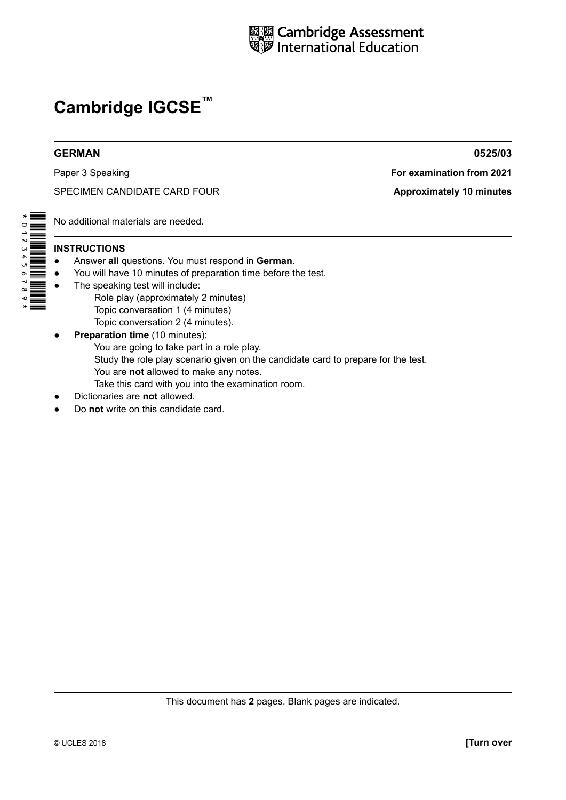

# **GERMAN 0525/03**

SPECIMEN CANDIDATE CARD FOUR **Approximately 10 minutes** 

No additional materials are needed.

# **INSTRUCTIONS**

\*0123456789\*

- Answer all questions. You must respond in German.
- ● You will have 10 minutes of preparation time before the test.
- The speaking test will include: Role play (approximately 2 minutes)
	- Topic conversation 1 (4 minutes)
- Topic conversation 2 (4 minutes). **• Preparation time** (10 minutes): You are going to take part in a role play. Study the role play scenario given on the candidate card to prepare for the test. You are **not** allowed to make any notes. Take this card with you into the examination room.
- **Dictionaries are not allowed.**
- Do **not** write on this candidate card.

Paper 3 Speaking **For examination from 2021**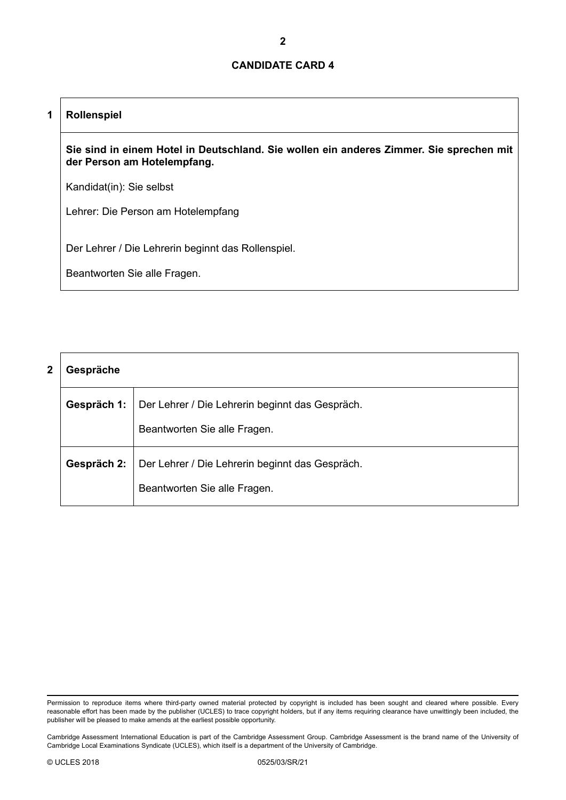# **1 Rollenspiel**

**Sie sind in einem Hotel in Deutschland. Sie wollen ein anderes Zimmer. Sie sprechen mit der Person am Hotelempfang.**

Kandidat(in): Sie selbst

Lehrer: Die Person am Hotelempfang

Der Lehrer / Die Lehrerin beginnt das Rollenspiel.

| 2 | Gespräche   |                                                 |  |
|---|-------------|-------------------------------------------------|--|
|   | Gespräch 1: | Der Lehrer / Die Lehrerin beginnt das Gespräch. |  |
|   |             | Beantworten Sie alle Fragen.                    |  |
|   | Gespräch 2: | Der Lehrer / Die Lehrerin beginnt das Gespräch. |  |
|   |             | Beantworten Sie alle Fragen.                    |  |

Permission to reproduce items where third-party owned material protected by copyright is included has been sought and cleared where possible. Every reasonable effort has been made by the publisher (UCLES) to trace copyright holders, but if any items requiring clearance have unwittingly been included, the publisher will be pleased to make amends at the earliest possible opportunity.

Cambridge Assessment International Education is part of the Cambridge Assessment Group. Cambridge Assessment is the brand name of the University of Cambridge Local Examinations Syndicate (UCLES), which itself is a department of the University of Cambridge.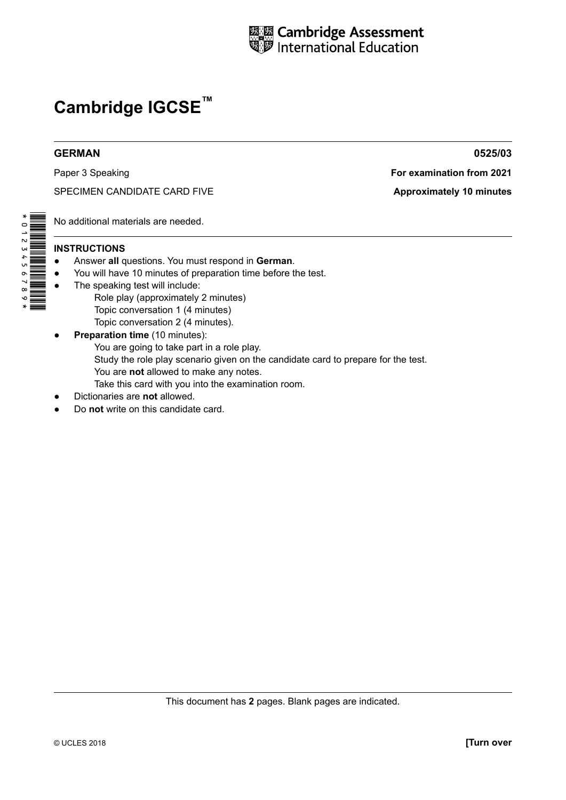

# **GERMAN 0525/03**

SPECIMEN CANDIDATE CARD FIVE **A**pproximately 10 minutes

No additional materials are needed.

# **INSTRUCTIONS**

\*0123456789\*

- Answer all questions. You must respond in German.
- ● You will have 10 minutes of preparation time before the test.
- The speaking test will include: Role play (approximately 2 minutes)
	- Topic conversation 1 (4 minutes)
- Topic conversation 2 (4 minutes). **• Preparation time** (10 minutes): You are going to take part in a role play. Study the role play scenario given on the candidate card to prepare for the test. You are **not** allowed to make any notes. Take this card with you into the examination room.
- **Dictionaries are not allowed.**
- Do **not** write on this candidate card.

Paper 3 Speaking **For examination from 2021**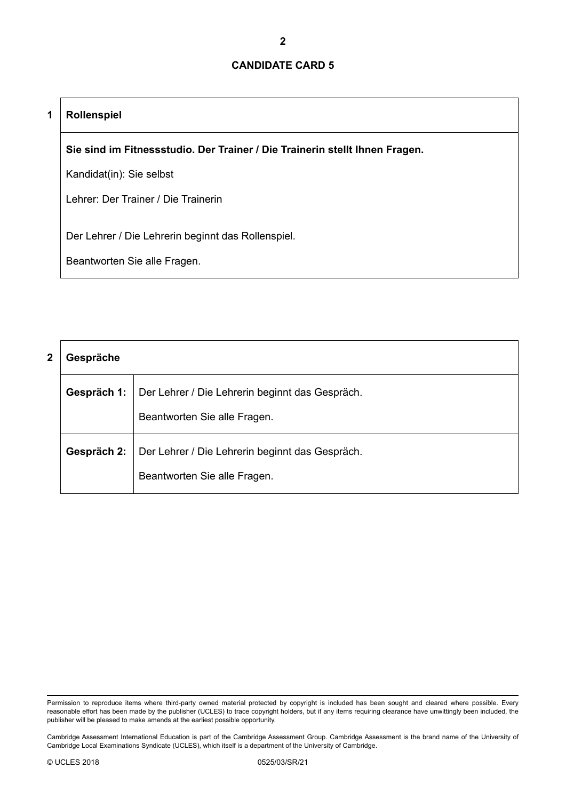# **1 Rollenspiel**

**Sie sind im Fitnessstudio. Der Trainer / Die Trainerin stellt Ihnen Fragen.**

Kandidat(in): Sie selbst

Lehrer: Der Trainer / Die Trainerin

Der Lehrer / Die Lehrerin beginnt das Rollenspiel.

| 2 | Gespräche   |                                                                                 |  |
|---|-------------|---------------------------------------------------------------------------------|--|
|   | Gespräch 1: | Der Lehrer / Die Lehrerin beginnt das Gespräch.<br>Beantworten Sie alle Fragen. |  |
|   | Gespräch 2: | Der Lehrer / Die Lehrerin beginnt das Gespräch.                                 |  |
|   |             | Beantworten Sie alle Fragen.                                                    |  |

Permission to reproduce items where third-party owned material protected by copyright is included has been sought and cleared where possible. Every reasonable effort has been made by the publisher (UCLES) to trace copyright holders, but if any items requiring clearance have unwittingly been included, the publisher will be pleased to make amends at the earliest possible opportunity.

Cambridge Assessment International Education is part of the Cambridge Assessment Group. Cambridge Assessment is the brand name of the University of Cambridge Local Examinations Syndicate (UCLES), which itself is a department of the University of Cambridge.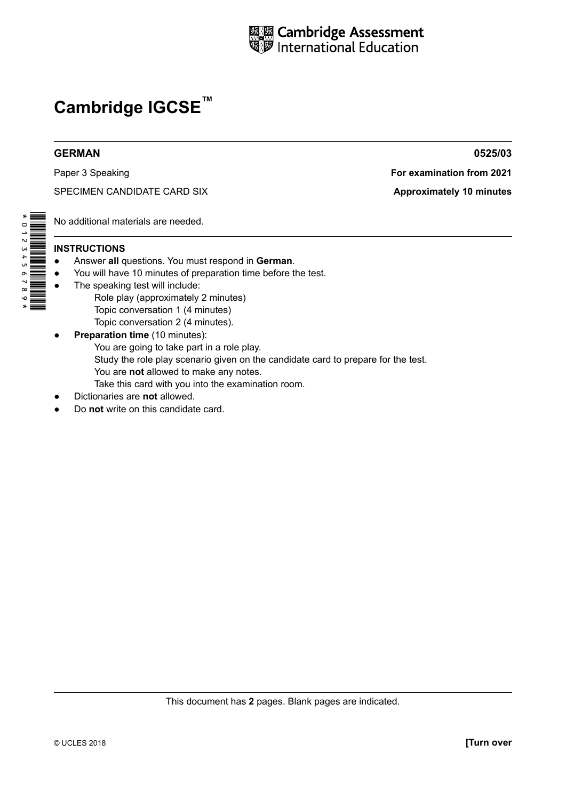

# **GERMAN 0525/03**

SPECIMEN CANDIDATE CARD SIX **Approximately 10 minutes** 

Paper 3 Speaking **For examination from 2021** 

No additional materials are needed.

# **INSTRUCTIONS**

- Answer all questions. You must respond in German.
- ● You will have 10 minutes of preparation time before the test.
- The speaking test will include: Role play (approximately 2 minutes)
	- Topic conversation 1 (4 minutes)
	- Topic conversation 2 (4 minutes).
- **• Preparation time** (10 minutes): You are going to take part in a role play. Study the role play scenario given on the candidate card to prepare for the test. You are **not** allowed to make any notes. Take this card with you into the examination room.
- **Dictionaries are not allowed.**
- Do **not** write on this candidate card.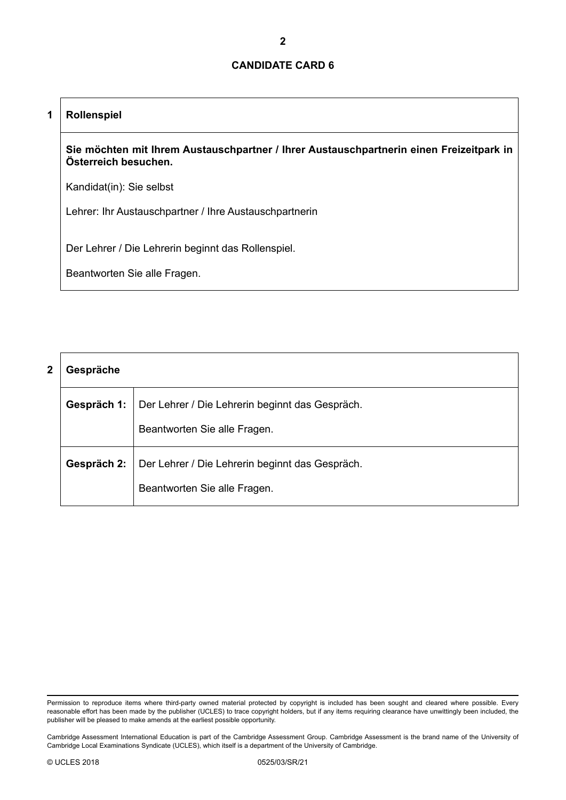# **1 Rollenspiel**

**Sie möchten mit Ihrem Austauschpartner / Ihrer Austauschpartnerin einen Freizeitpark in Österreich besuchen.**

Kandidat(in): Sie selbst

Lehrer: Ihr Austauschpartner / Ihre Austauschpartnerin

Der Lehrer / Die Lehrerin beginnt das Rollenspiel.

| 2 | Gespräche   |                                                                                 |  |
|---|-------------|---------------------------------------------------------------------------------|--|
|   | Gespräch 1: | Der Lehrer / Die Lehrerin beginnt das Gespräch.                                 |  |
|   |             | Beantworten Sie alle Fragen.                                                    |  |
|   | Gespräch 2: | Der Lehrer / Die Lehrerin beginnt das Gespräch.<br>Beantworten Sie alle Fragen. |  |

Permission to reproduce items where third-party owned material protected by copyright is included has been sought and cleared where possible. Every reasonable effort has been made by the publisher (UCLES) to trace copyright holders, but if any items requiring clearance have unwittingly been included, the publisher will be pleased to make amends at the earliest possible opportunity.

Cambridge Assessment International Education is part of the Cambridge Assessment Group. Cambridge Assessment is the brand name of the University of Cambridge Local Examinations Syndicate (UCLES), which itself is a department of the University of Cambridge.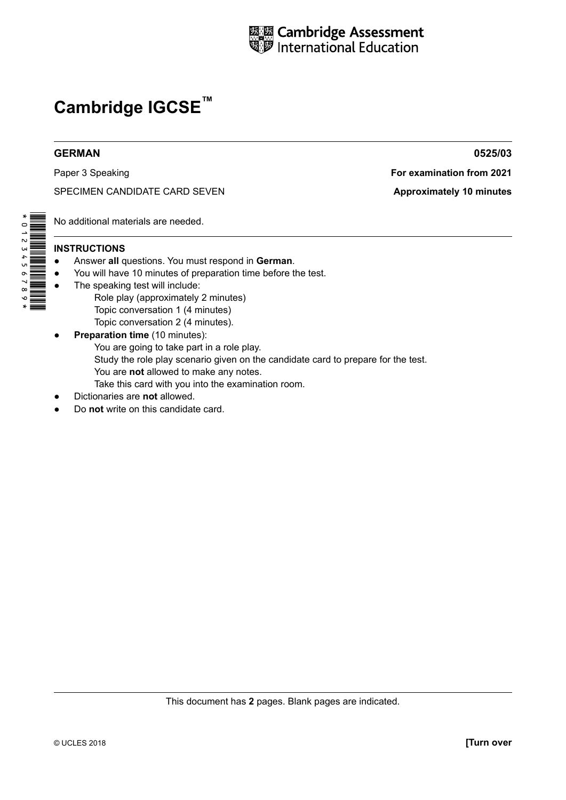

Paper 3 Speaking **For examination from 2021** 

SPECIMEN CANDIDATE CARD SEVEN **Approximately 10 minutes** 

No additional materials are needed.

# **INSTRUCTIONS**

\*0123456789\*

- Answer all questions. You must respond in German.
- ● You will have 10 minutes of preparation time before the test.
- The speaking test will include: Role play (approximately 2 minutes)
	- Topic conversation 1 (4 minutes)
- Topic conversation 2 (4 minutes). **• Preparation time** (10 minutes): You are going to take part in a role play. Study the role play scenario given on the candidate card to prepare for the test. You are **not** allowed to make any notes. Take this card with you into the examination room.
- **Dictionaries are not allowed.**
- Do **not** write on this candidate card.

**GERMAN 0525/03**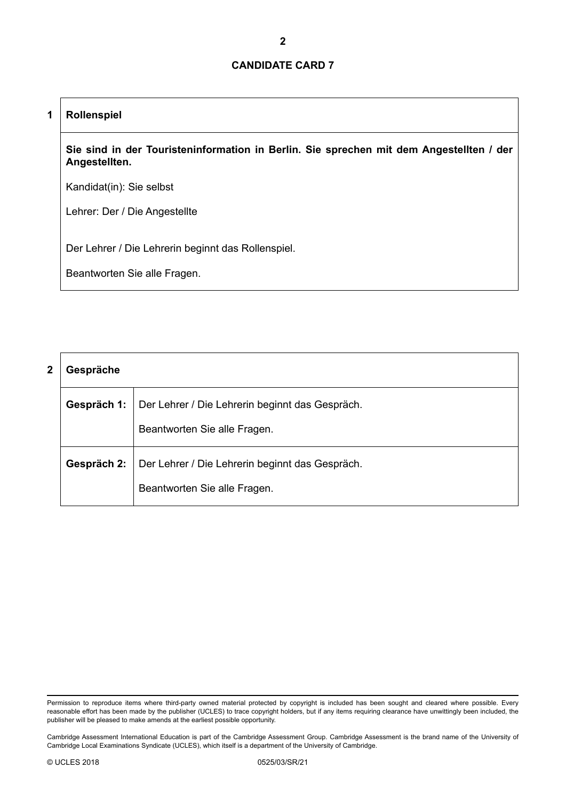# **1 Rollenspiel**

**Sie sind in der Touristeninformation in Berlin. Sie sprechen mit dem Angestellten / der Angestellten.**

Kandidat(in): Sie selbst

Lehrer: Der / Die Angestellte

Der Lehrer / Die Lehrerin beginnt das Rollenspiel.

| 2 | Gespräche   |                                                                                 |  |
|---|-------------|---------------------------------------------------------------------------------|--|
|   | Gespräch 1: | Der Lehrer / Die Lehrerin beginnt das Gespräch.                                 |  |
|   |             | Beantworten Sie alle Fragen.                                                    |  |
|   | Gespräch 2: | Der Lehrer / Die Lehrerin beginnt das Gespräch.<br>Beantworten Sie alle Fragen. |  |

Permission to reproduce items where third-party owned material protected by copyright is included has been sought and cleared where possible. Every reasonable effort has been made by the publisher (UCLES) to trace copyright holders, but if any items requiring clearance have unwittingly been included, the publisher will be pleased to make amends at the earliest possible opportunity.

Cambridge Assessment International Education is part of the Cambridge Assessment Group. Cambridge Assessment is the brand name of the University of Cambridge Local Examinations Syndicate (UCLES), which itself is a department of the University of Cambridge.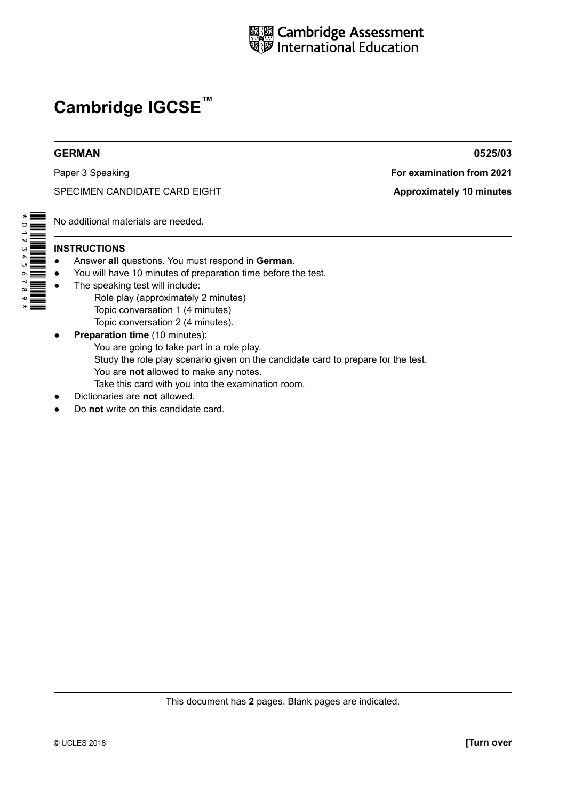

Paper 3 Speaking **For examination from 2021**

SPECIMEN CANDIDATE CARD EIGHT **A**pproximately 10 minutes

No additional materials are needed.

# **INSTRUCTIONS**

- Answer all questions. You must respond in German.
- ● You will have 10 minutes of preparation time before the test.
- The speaking test will include: Role play (approximately 2 minutes)
	- Topic conversation 1 (4 minutes)
- Topic conversation 2 (4 minutes). **• Preparation time** (10 minutes): You are going to take part in a role play. Study the role play scenario given on the candidate card to prepare for the test. You are **not** allowed to make any notes. Take this card with you into the examination room.
- **Dictionaries are not allowed.**
- Do **not** write on this candidate card.

**GERMAN 0525/03**

This document has **2** pages. Blank pages are indicated.

\*0123456789\*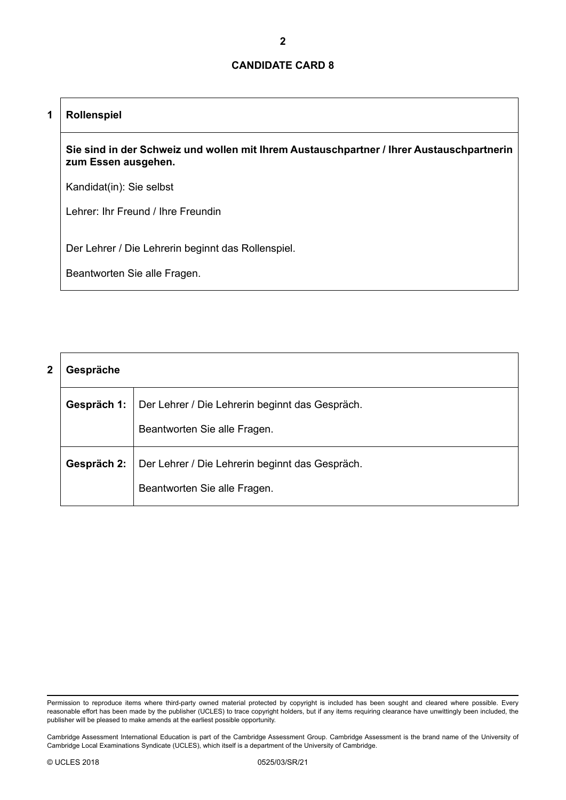# **1 Rollenspiel**

**Sie sind in der Schweiz und wollen mit Ihrem Austauschpartner / Ihrer Austauschpartnerin zum Essen ausgehen.**

Kandidat(in): Sie selbst

Lehrer: Ihr Freund / Ihre Freundin

Der Lehrer / Die Lehrerin beginnt das Rollenspiel.

| 2 | Gespräche   |                                                                                 |  |
|---|-------------|---------------------------------------------------------------------------------|--|
|   | Gespräch 1: | Der Lehrer / Die Lehrerin beginnt das Gespräch.                                 |  |
|   |             | Beantworten Sie alle Fragen.                                                    |  |
|   | Gespräch 2: | Der Lehrer / Die Lehrerin beginnt das Gespräch.<br>Beantworten Sie alle Fragen. |  |

Permission to reproduce items where third-party owned material protected by copyright is included has been sought and cleared where possible. Every reasonable effort has been made by the publisher (UCLES) to trace copyright holders, but if any items requiring clearance have unwittingly been included, the publisher will be pleased to make amends at the earliest possible opportunity.

Cambridge Assessment International Education is part of the Cambridge Assessment Group. Cambridge Assessment is the brand name of the University of Cambridge Local Examinations Syndicate (UCLES), which itself is a department of the University of Cambridge.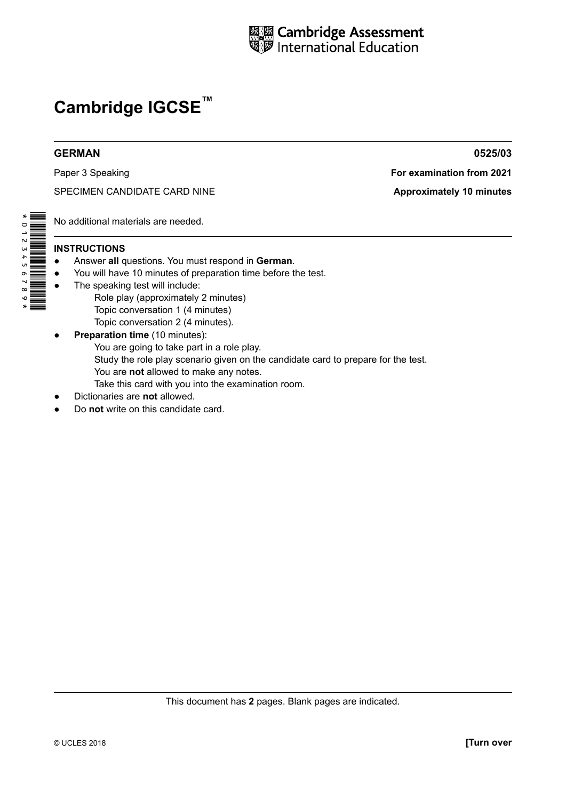

# **GERMAN 0525/03**

SPECIMEN CANDIDATE CARD NINE **Approximately 10 minutes** 

Paper 3 Speaking **For examination from 2021** 

No additional materials are needed.

# **INSTRUCTIONS**

\*0123456789\*

- Answer all questions. You must respond in German.
- ● You will have 10 minutes of preparation time before the test.
- The speaking test will include: Role play (approximately 2 minutes)
	- Topic conversation 1 (4 minutes)
	- Topic conversation 2 (4 minutes).
- **• Preparation time** (10 minutes): You are going to take part in a role play. Study the role play scenario given on the candidate card to prepare for the test. You are **not** allowed to make any notes. Take this card with you into the examination room.
- **Dictionaries are not allowed.**
- Do **not** write on this candidate card.